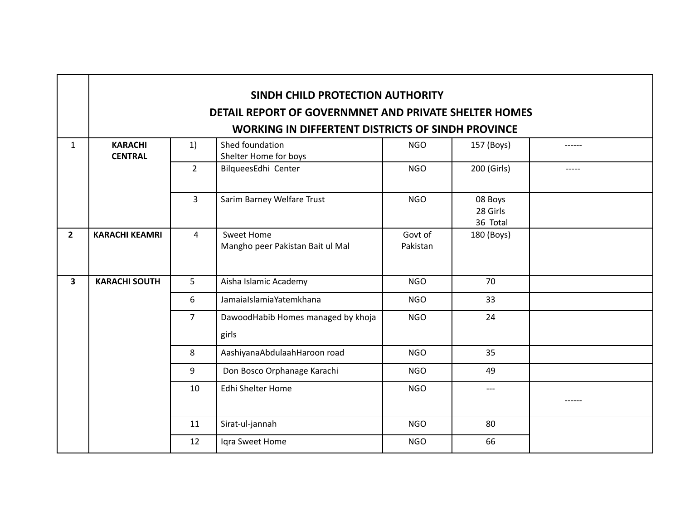|                         | SINDH CHILD PROTECTION AUTHORITY                         |                |                                                |                     |                                 |        |  |
|-------------------------|----------------------------------------------------------|----------------|------------------------------------------------|---------------------|---------------------------------|--------|--|
|                         | DETAIL REPORT OF GOVERNMNET AND PRIVATE SHELTER HOMES    |                |                                                |                     |                                 |        |  |
|                         | <b>WORKING IN DIFFERTENT DISTRICTS OF SINDH PROVINCE</b> |                |                                                |                     |                                 |        |  |
| $\mathbf{1}$            | <b>KARACHI</b><br><b>CENTRAL</b>                         | 1)             | Shed foundation<br>Shelter Home for boys       | <b>NGO</b>          | 157 (Boys)                      | ------ |  |
|                         |                                                          | $\overline{2}$ | BilqueesEdhi Center                            | <b>NGO</b>          | 200 (Girls)                     |        |  |
|                         |                                                          | $\overline{3}$ | Sarim Barney Welfare Trust                     | <b>NGO</b>          | 08 Boys<br>28 Girls<br>36 Total |        |  |
| $\overline{2}$          | <b>KARACHI KEAMRI</b>                                    | 4              | Sweet Home<br>Mangho peer Pakistan Bait ul Mal | Govt of<br>Pakistan | 180 (Boys)                      |        |  |
| $\overline{\mathbf{3}}$ | <b>KARACHI SOUTH</b>                                     | 5              | Aisha Islamic Academy                          | <b>NGO</b>          | 70                              |        |  |
|                         |                                                          | 6              | JamaiaIslamiaYatemkhana                        | <b>NGO</b>          | 33                              |        |  |
|                         |                                                          | $\overline{7}$ | DawoodHabib Homes managed by khoja<br>girls    | <b>NGO</b>          | 24                              |        |  |
|                         |                                                          | 8              | AashiyanaAbdulaahHaroon road                   | <b>NGO</b>          | 35                              |        |  |
|                         |                                                          | 9              | Don Bosco Orphanage Karachi                    | <b>NGO</b>          | 49                              |        |  |
|                         |                                                          | 10             | Edhi Shelter Home                              | <b>NGO</b>          | $---$                           |        |  |
|                         |                                                          | 11             | Sirat-ul-jannah                                | <b>NGO</b>          | 80                              |        |  |
|                         |                                                          | 12             | Iqra Sweet Home                                | <b>NGO</b>          | 66                              |        |  |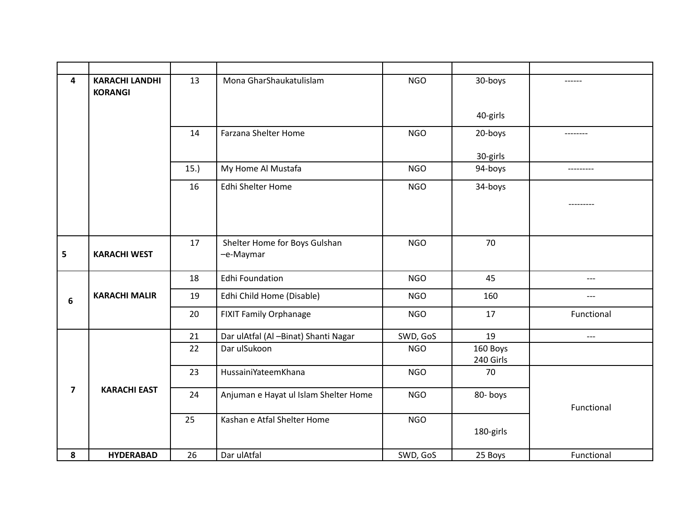| 4                       | <b>KARACHI LANDHI</b><br><b>KORANGI</b> | 13  | Mona GharShaukatulislam                    | <b>NGO</b> | 30-boys               | ------     |
|-------------------------|-----------------------------------------|-----|--------------------------------------------|------------|-----------------------|------------|
|                         |                                         |     |                                            |            | 40-girls              |            |
|                         |                                         | 14  | Farzana Shelter Home                       | <b>NGO</b> | 20-boys               | --------   |
|                         |                                         |     |                                            |            | 30-girls              |            |
|                         |                                         | 15. | My Home Al Mustafa                         | <b>NGO</b> | 94-boys               | ---------  |
|                         |                                         | 16  | Edhi Shelter Home                          | <b>NGO</b> | 34-boys               |            |
|                         |                                         |     |                                            |            |                       | --------   |
|                         |                                         |     |                                            |            |                       |            |
| 5                       | <b>KARACHI WEST</b>                     | 17  | Shelter Home for Boys Gulshan<br>-e-Maymar | <b>NGO</b> | 70                    |            |
|                         |                                         | 18  | <b>Edhi Foundation</b>                     | <b>NGO</b> | 45                    | $---$      |
| 6                       | <b>KARACHI MALIR</b>                    | 19  | Edhi Child Home (Disable)                  | <b>NGO</b> | 160                   | ---        |
|                         |                                         | 20  | <b>FIXIT Family Orphanage</b>              | <b>NGO</b> | 17                    | Functional |
|                         |                                         | 21  | Dar ulAtfal (Al-Binat) Shanti Nagar        | SWD, GoS   | 19                    | ---        |
|                         |                                         | 22  | Dar ulSukoon                               | <b>NGO</b> | 160 Boys<br>240 Girls |            |
|                         |                                         | 23  | HussainiYateemKhana                        | <b>NGO</b> | 70                    |            |
| $\overline{\mathbf{z}}$ | <b>KARACHI EAST</b>                     | 24  | Anjuman e Hayat ul Islam Shelter Home      | <b>NGO</b> | 80-boys               | Functional |
|                         |                                         | 25  | Kashan e Atfal Shelter Home                | <b>NGO</b> | 180-girls             |            |
| 8                       | <b>HYDERABAD</b>                        | 26  | Dar ulAtfal                                | SWD, GoS   | 25 Boys               | Functional |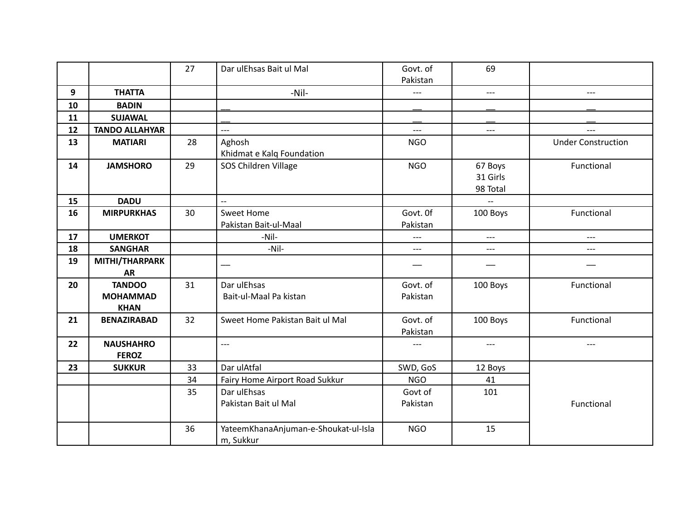|    |                       | 27 | Dar ulEhsas Bait ul Mal              | Govt. of   | 69       |                           |
|----|-----------------------|----|--------------------------------------|------------|----------|---------------------------|
|    |                       |    |                                      | Pakistan   |          |                           |
| 9  | <b>THATTA</b>         |    | -Nil-                                | $---$      | $---$    | $---$                     |
| 10 | <b>BADIN</b>          |    |                                      |            |          |                           |
| 11 | <b>SUJAWAL</b>        |    |                                      |            |          |                           |
| 12 | <b>TANDO ALLAHYAR</b> |    | $---$                                | $---$      | $---$    | $---$                     |
| 13 | <b>MATIARI</b>        | 28 | Aghosh                               | <b>NGO</b> |          | <b>Under Construction</b> |
|    |                       |    | Khidmat e Kalq Foundation            |            |          |                           |
| 14 | <b>JAMSHORO</b>       | 29 | SOS Children Village                 | <b>NGO</b> | 67 Boys  | Functional                |
|    |                       |    |                                      |            | 31 Girls |                           |
|    |                       |    |                                      |            | 98 Total |                           |
| 15 | <b>DADU</b>           |    | $\overline{a}$                       |            |          |                           |
| 16 | <b>MIRPURKHAS</b>     | 30 | <b>Sweet Home</b>                    | Govt. Of   | 100 Boys | Functional                |
|    |                       |    | Pakistan Bait-ul-Maal                | Pakistan   |          |                           |
| 17 | <b>UMERKOT</b>        |    | -Nil-                                | $---$      | $---$    | $---$                     |
| 18 | <b>SANGHAR</b>        |    | -Nil-                                | $---$      | $---$    | $---$                     |
| 19 | MITHI/THARPARK        |    |                                      |            | —        |                           |
|    | <b>AR</b>             |    |                                      |            |          |                           |
| 20 | <b>TANDOO</b>         | 31 | Dar ulEhsas                          | Govt. of   | 100 Boys | Functional                |
|    | <b>MOHAMMAD</b>       |    | Bait-ul-Maal Pa kistan               | Pakistan   |          |                           |
|    | <b>KHAN</b>           |    |                                      |            |          |                           |
| 21 | <b>BENAZIRABAD</b>    | 32 | Sweet Home Pakistan Bait ul Mal      | Govt. of   | 100 Boys | Functional                |
|    |                       |    |                                      | Pakistan   |          |                           |
| 22 | <b>NAUSHAHRO</b>      |    | $---$                                | ---        | $---$    | ---                       |
|    | <b>FEROZ</b>          |    |                                      |            |          |                           |
| 23 | <b>SUKKUR</b>         | 33 | Dar ulAtfal                          | SWD, GoS   | 12 Boys  |                           |
|    |                       | 34 | Fairy Home Airport Road Sukkur       | <b>NGO</b> | 41       |                           |
|    |                       | 35 | Dar ulEhsas                          | Govt of    | 101      |                           |
|    |                       |    | Pakistan Bait ul Mal                 | Pakistan   |          | Functional                |
|    |                       |    |                                      |            |          |                           |
|    |                       | 36 | YateemKhanaAnjuman-e-Shoukat-ul-Isla | <b>NGO</b> | 15       |                           |
|    |                       |    | m, Sukkur                            |            |          |                           |